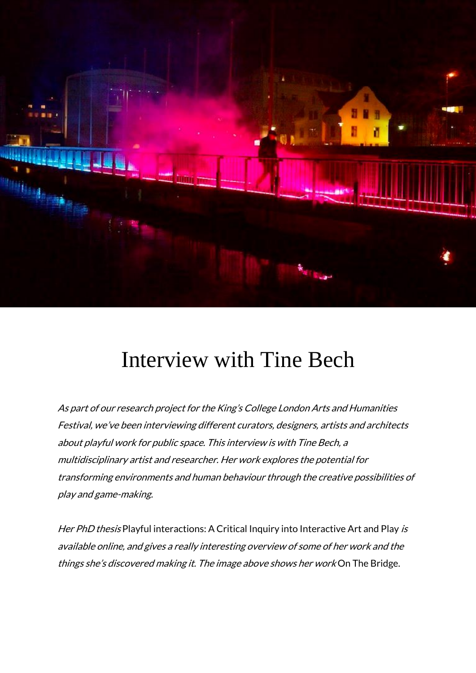

## [Interview](http://mathesonmarcault.com/index.php/2016/09/19/interview-with-tine-bech/) with Tine Bech

As part of our research project for the King's College London Arts and Humanities Festival, we've been interviewing different curators, designers, artists and architects about playful work for public space. This interview is with Tine Bech, <sup>a</sup> multidisciplinary artist and researcher. Her work explores the potential for transforming environments and human behaviour through the creative possibilities of play and game-making.

Her PhD thesis Playful [interactions:](http://www.tinebech.com/Research/) A Critical Inquiry into Interactive Art and Play is available online, and gives <sup>a</sup> really interesting overview of some of her work and the things she's discovered making it. The image above shows her work On The Bridge.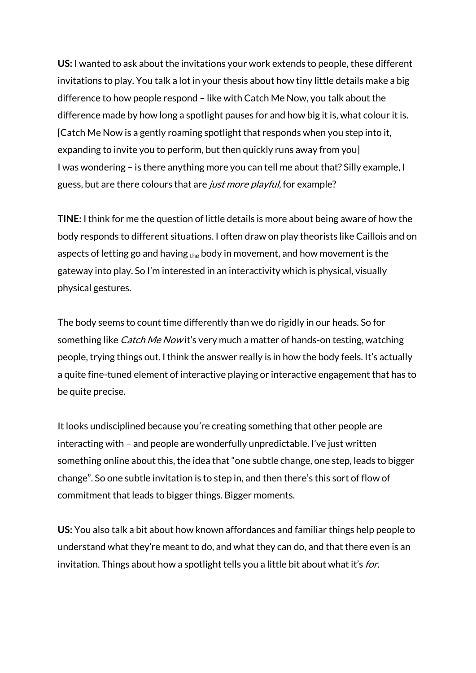**US:** I wanted to ask about the invitations your work extends to people, these different invitations to play. You talk a lot in your thesis about how tiny little details make a big difference to how people respond – like with [Catch](http://www.tinebech.com/Artwork/Interactive/CatchMeNow/) Me Now, you talk about the difference made by how long a spotlight pauses for and how big it is, what colour it is. [Catch Me Now is a gently roaming spotlight that responds when you step into it, expanding to invite you to perform, but then quickly runs away from you] I was wondering – is there anything more you can tell me about that? Silly example, I guess, but are there colours that are *just more playful*, for example?

**TINE:** I think for me the question of little details is more about being aware of how the body responds to different situations. I often draw on play theorists like Caillois and on aspects of letting go and having  $_{the}$  body in movement, and how movement is the gateway into play. So I'm interested in an interactivity which is physical, visually physical gestures.

The body seems to count time differently than we do rigidly in our heads. So for something like *Catch Me Now* it's very much a matter of hands-on testing, watching people, trying things out. I think the answer really is in how the body feels. It's actually a quite fine-tuned element of interactive playing or interactive engagement that has to be quite precise.

It looks undisciplined because you're creating something that other people are interacting with – and people are wonderfully unpredictable. I've just written something online about this, the idea that "one subtle change, one step, leads to bigger change". So one subtle invitation is to step in, and then there's this sort of flow of commitment that leads to bigger things. Bigger moments.

**US:** You also talk a bit about how known affordances and familiar things help people to understand what they're meant to do, and what they can do, and that there even is an invitation. Things about how a spotlight tells you a little bit about what it's for.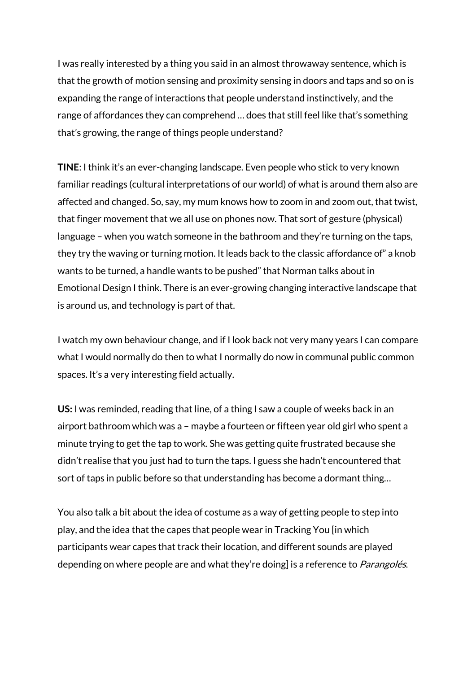I was really interested by a thing you said in an almost throwaway sentence, which is that the growth of motion sensing and proximity sensing in doors and taps and so on is expanding the range of interactions that people understand instinctively, and the range of affordances they can comprehend … does that still feel like that's something that's growing, the range of things people understand?

**TINE**: I think it's an ever-changing landscape. Even people who stick to very known familiar readings (cultural interpretations of our world) of what is around them also are affected and changed. So, say, my mum knows how to zoom in and zoom out, that twist, that finger movement that we all use on phones now. That sort of gesture (physical) language – when you watch someone in the bathroom and they're turning on the taps, they try the waving or turning motion. It leads back to the classic affordance of" a knob wants to be turned, a handle wants to be pushed" that Norman talks about in Emotional Design I think. There is an ever-growing changing interactive landscape that is around us, and technology is part of that.

I watch my own behaviour change, and if I look back not very many years I can compare what I would normally do then to what I normally do now in communal public common spaces. It's a very interesting field actually.

**US:** I was reminded, reading that line, of a thing I saw a couple of weeks back in an airport bathroom which was a – maybe a fourteen or fifteen year old girl who spent a minute trying to get the tap to work. She was getting quite frustrated because she didn't realise that you just had to turn the taps. I guess she hadn't encountered that sort of taps in public before so that understanding has become a dormant thing…

You also talk a bit about the idea of costume as a way of getting people to step into play, and the idea that the capes that people wear in [Tracking](http://www.tinebech.com/Artwork/Interactive/TrackingYou/) You [in which participants wear capes that track their location, and different sounds are played depending on where people are and what they're doing] is a reference to *Parangolés*.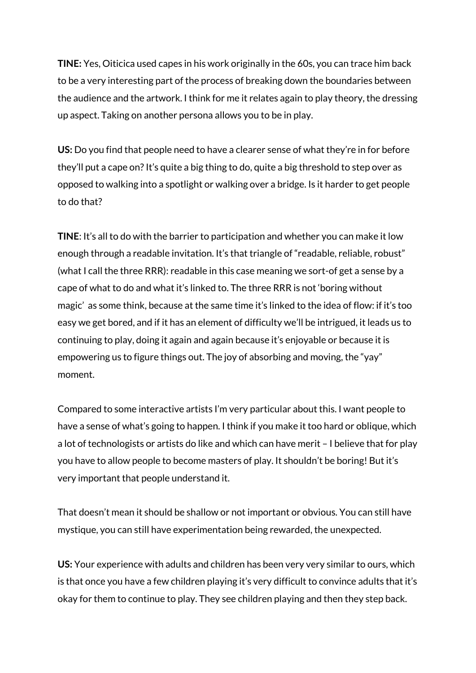**TINE:** Yes, Oiticica used capes in his work originally in the 60s, you can trace him back to be a very interesting part of the process of breaking down the boundaries between the audience and the artwork. I think for me it relates again to play theory, the dressing up aspect. Taking on another persona allows you to be in play.

**US:** Do you find that people need to have a clearer sense of what they're in for before they'll put a cape on? It's quite a big thing to do, quite a big threshold to step over as opposed to walking into a spotlight or walking over a bridge. Is it harder to get people to do that?

**TINE**: It's all to do with the barrier to participation and whether you can make it low enough through a readable invitation. It's that triangle of "readable, reliable, robust" (what I call the three RRR): readable in this case meaning we sort-of get a sense by a cape of what to do and what it's linked to. The three RRR is not 'boring without magic' as some think, because at the same time it's linked to the idea of flow: if it's too easy we get bored, and if it has an element of difficulty we'll be intrigued, it leads us to continuing to play, doing it again and again because it's enjoyable or because it is empowering us to figure things out. The joy of absorbing and moving, the "yay" moment.

Compared to some interactive artists I'm very particular about this. I want people to have a sense of what's going to happen. I think if you make it too hard or oblique, which a lot of technologists or artists do like and which can have merit – I believe that for play you have to allow people to become masters of play. It shouldn't be boring! But it's very important that people understand it.

That doesn't mean it should be shallow or not important or obvious. You can still have mystique, you can still have experimentation being rewarded, the unexpected.

**US:** Your experience with adults and children has been very very similar to ours, which is that once you have a few children playing it's very difficult to convince adults that it's okay for them to continue to play. They see children playing and then they step back.